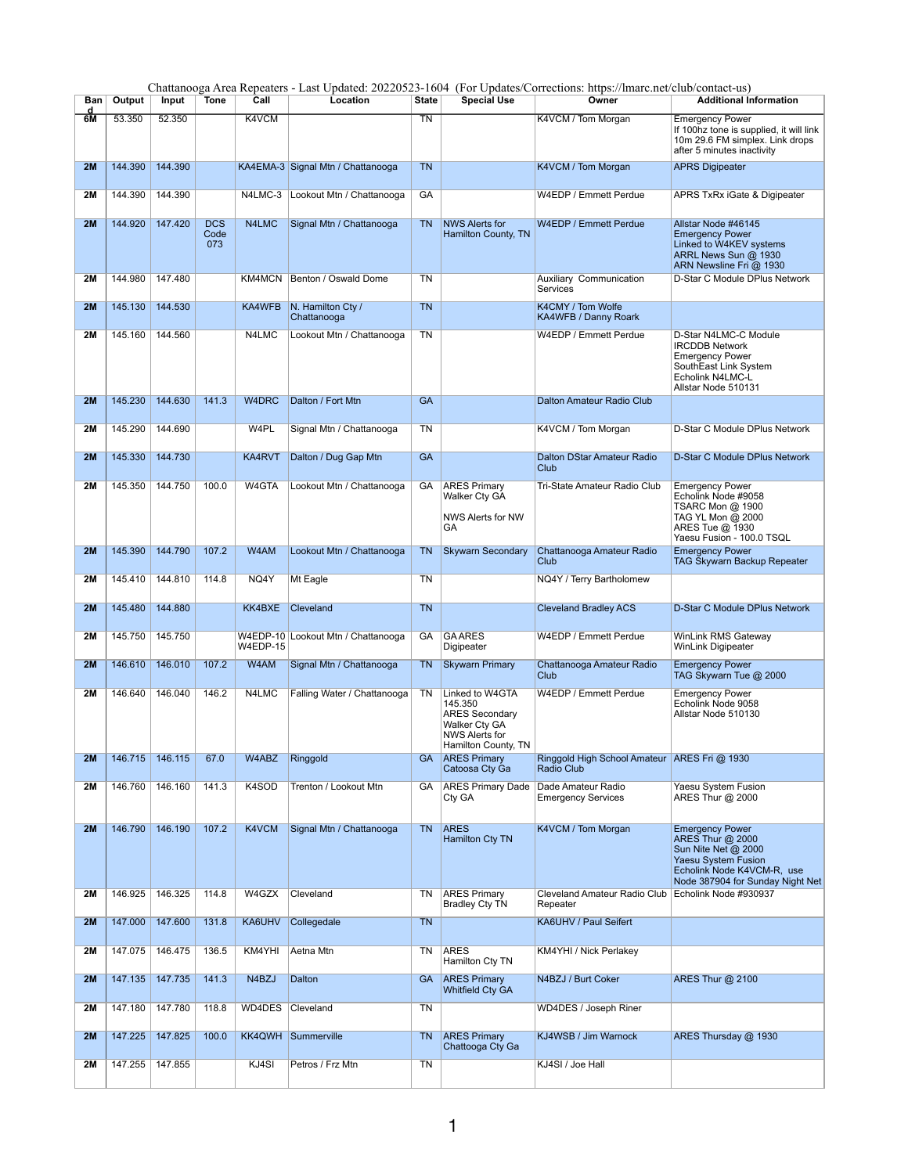|           |                 |                   |                           |           |                                      |                 |                                                                                                                      | Chattanooga Area Repeaters - Last Updated: 20220523-1604 (For Updates/Corrections: https://lmarc.net/club/contact-us) |                                                                                                                                                                   |
|-----------|-----------------|-------------------|---------------------------|-----------|--------------------------------------|-----------------|----------------------------------------------------------------------------------------------------------------------|-----------------------------------------------------------------------------------------------------------------------|-------------------------------------------------------------------------------------------------------------------------------------------------------------------|
| Ban<br>d  | Output          | Input             | <b>Tone</b>               | Call      | Location                             | <b>State</b>    | <b>Special Use</b>                                                                                                   | Owner                                                                                                                 | <b>Additional Information</b>                                                                                                                                     |
| 6M        | 53.350          | 52.350            |                           | K4VCM     |                                      | $\overline{T}N$ |                                                                                                                      | K4VCM / Tom Morgan                                                                                                    | <b>Emergency Power</b><br>If 100hz tone is supplied, it will link<br>10m 29.6 FM simplex. Link drops<br>after 5 minutes inactivity                                |
| 2M        | 144.390         | 144.390           |                           |           | KA4EMA-3 Signal Mtn / Chattanooga    | <b>TN</b>       |                                                                                                                      | K4VCM / Tom Morgan                                                                                                    | <b>APRS Digipeater</b>                                                                                                                                            |
| 2M        | 144.390         | 144.390           |                           | $N4LMC-3$ | Lookout Mtn / Chattanooga            | GA              |                                                                                                                      | W4EDP / Emmett Perdue                                                                                                 | APRS TxRx iGate & Digipeater                                                                                                                                      |
| 2M        | 144.920         | 147.420           | <b>DCS</b><br>Code<br>073 | N4LMC     | Signal Mtn / Chattanooga             | <b>TN</b>       | <b>NWS Alerts for</b><br>Hamilton County, TN                                                                         | <b>W4EDP / Emmett Perdue</b>                                                                                          | Allstar Node #46145<br><b>Emergency Power</b><br>Linked to W4KEV systems<br>ARRL News Sun @ 1930<br>ARN Newsline Fri @ 1930                                       |
| 2M        | 144.980         | 147.480           |                           |           | KM4MCN   Benton / Oswald Dome        | TN              |                                                                                                                      | <b>Auxiliary Communication</b><br>Services                                                                            | D-Star C Module DPlus Network                                                                                                                                     |
| 2M        | 145.130         | 144.530           |                           | KA4WFB    | N. Hamilton Cty /<br>Chattanooga     | <b>TN</b>       |                                                                                                                      | K4CMY / Tom Wolfe<br>KA4WFB / Danny Roark                                                                             |                                                                                                                                                                   |
| 2M        | 145.160         | 144.560           |                           | N4LMC     | Lookout Mtn / Chattanooga            | TN              |                                                                                                                      | W4EDP / Emmett Perdue                                                                                                 | D-Star N4LMC-C Module<br><b>IRCDDB Network</b><br><b>Emergency Power</b><br>SouthEast Link System<br>Echolink N4LMC-L<br>Allstar Node 510131                      |
| 2M        | 145.230         | 144.630           | 141.3                     | W4DRC     | Dalton / Fort Mtn                    | <b>GA</b>       |                                                                                                                      | Dalton Amateur Radio Club                                                                                             |                                                                                                                                                                   |
| 2M        | 145.290         | 144.690           |                           | W4PL      | Signal Mtn / Chattanooga             | TN              |                                                                                                                      | K4VCM / Tom Morgan                                                                                                    | D-Star C Module DPlus Network                                                                                                                                     |
| 2M        | 145.330         | 144.730           |                           | KA4RVT    | Dalton / Dug Gap Mtn                 | <b>GA</b>       |                                                                                                                      | Dalton DStar Amateur Radio<br>Club                                                                                    | <b>D-Star C Module DPlus Network</b>                                                                                                                              |
| 2M        | 145.350         | 144.750           | 100.0                     | W4GTA     | Lookout Mtn / Chattanooga            | GA              | <b>ARES Primary</b><br><b>Walker Cty GA</b>                                                                          | Tri-State Amateur Radio Club                                                                                          | <b>Emergency Power</b><br>Echolink Node #9058                                                                                                                     |
|           |                 |                   |                           |           |                                      |                 | <b>NWS Alerts for NW</b><br>GA                                                                                       |                                                                                                                       | TSARC Mon @ 1900<br>TAG YL Mon @ 2000<br>ARES Tue @ 1930<br>Yaesu Fusion - 100.0 TSQL                                                                             |
| 2M        | 145.390         | 144.790           | 107.2                     | W4AM      | Lookout Mtn / Chattanooga            | <b>TN</b>       | <b>Skywarn Secondary</b>                                                                                             | Chattanooga Amateur Radio<br>Club                                                                                     | <b>Emergency Power</b><br><b>TAG Skywarn Backup Repeater</b>                                                                                                      |
| <b>2M</b> | 145.410         | 144.810           | 114.8                     | NQ4Y      | Mt Eagle                             | <b>TN</b>       |                                                                                                                      | NQ4Y / Terry Bartholomew                                                                                              |                                                                                                                                                                   |
| 2M        | 145.480         | 144.880           |                           | KK4BXE    | Cleveland                            | <b>TN</b>       |                                                                                                                      | <b>Cleveland Bradley ACS</b>                                                                                          | D-Star C Module DPlus Network                                                                                                                                     |
| 2M        | 145.750         | 145.750           |                           | W4EDP-15  | W4EDP-10   Lookout Mtn / Chattanooga | GA              | GAARES<br>Digipeater                                                                                                 | W4EDP / Emmett Perdue                                                                                                 | <b>WinLink RMS Gateway</b><br><b>WinLink Digipeater</b>                                                                                                           |
| 2M        | 146.610         | 146.010           | 107.2                     | W4AM      | Signal Mtn / Chattanooga             | <b>TN</b>       | <b>Skywarn Primary</b>                                                                                               | Chattanooga Amateur Radio<br>Club                                                                                     | <b>Emergency Power</b><br>TAG Skywarn Tue @ 2000                                                                                                                  |
| 2M        | 146.640         | 146.040           | 146.2                     | N4LMC     | Falling Water / Chattanooga          | TN              | Linked to W4GTA<br>145.350<br><b>ARES Secondary</b><br>Walker Cty GA<br><b>NWS Alerts for</b><br>Hamilton County, TN | W4EDP / Emmett Perdue                                                                                                 | <b>Emergency Power</b><br>Echolink Node 9058<br>Allstar Node 510130                                                                                               |
| 2M        | 146.715         | 146.115           | 67.0                      | W4ABZ     | Ringgold                             | <b>GA</b>       | <b>ARES Primary</b><br>Catoosa Cty Ga                                                                                | Ringgold High School Amateur   ARES Fri @ 1930<br><b>Radio Club</b>                                                   |                                                                                                                                                                   |
| 2M        | 146.760         | 146.160           | 141.3                     | K4SOD     | Trenton / Lookout Mtn                | GA              | <b>ARES Primary Dade</b><br>Cty GA                                                                                   | Dade Amateur Radio<br><b>Emergency Services</b>                                                                       | Yaesu System Fusion<br>ARES Thur @ 2000                                                                                                                           |
| 2M        | 146.790         | 146.190           | 107.2                     | K4VCM     | Signal Mtn / Chattanooga             | <b>TN</b>       | <b>ARES</b><br>Hamilton Cty TN                                                                                       | K4VCM / Tom Morgan                                                                                                    | <b>Emergency Power</b><br>ARES Thur @ 2000<br>Sun Nite Net @ 2000<br><b>Yaesu System Fusion</b><br>Echolink Node K4VCM-R, use<br>Node 387904 for Sunday Night Net |
| 2M        | 146.925         | 146.325           | 114.8                     | W4GZX     | Cleveland                            | TN              | <b>ARES Primary</b><br><b>Bradley Cty TN</b>                                                                         | Cleveland Amateur Radio Club   Echolink Node #930937<br>Repeater                                                      |                                                                                                                                                                   |
| 2M        | 147.000         | 147.600           | 131.8                     | KA6UHV    | Collegedale                          | <b>TN</b>       |                                                                                                                      | KA6UHV / Paul Seifert                                                                                                 |                                                                                                                                                                   |
| 2M        |                 | 147.075 146.475   | 136.5                     | KM4YHI    | Aetna Mtn                            | <b>TN</b>       | <b>ARES</b><br>Hamilton Cty TN                                                                                       | <b>KM4YHI / Nick Perlakey</b>                                                                                         |                                                                                                                                                                   |
| 2M        | 147.135 147.735 |                   | 141.3                     | N4BZJ     | Dalton                               | <b>GA</b>       | <b>ARES Primary</b><br><b>Whitfield Cty GA</b>                                                                       | N4BZJ / Burt Coker                                                                                                    | ARES Thur @ 2100                                                                                                                                                  |
| 2M        |                 | 147.180   147.780 | 118.8                     | WD4DES    | Cleveland                            | <b>TN</b>       |                                                                                                                      | <b>WD4DES / Joseph Riner</b>                                                                                          |                                                                                                                                                                   |
| 2M        | 147.225         | 147.825           | 100.0                     |           | KK4QWH Summerville                   | <b>TN</b>       | <b>ARES Primary</b><br>Chattooga Cty Ga                                                                              | KJ4WSB / Jim Warnock                                                                                                  | ARES Thursday @ 1930                                                                                                                                              |
| 2M        | 147.255 147.855 |                   |                           | KJ4SI     | Petros / Frz Mtn                     | TN              |                                                                                                                      | KJ4SI / Joe Hall                                                                                                      |                                                                                                                                                                   |

1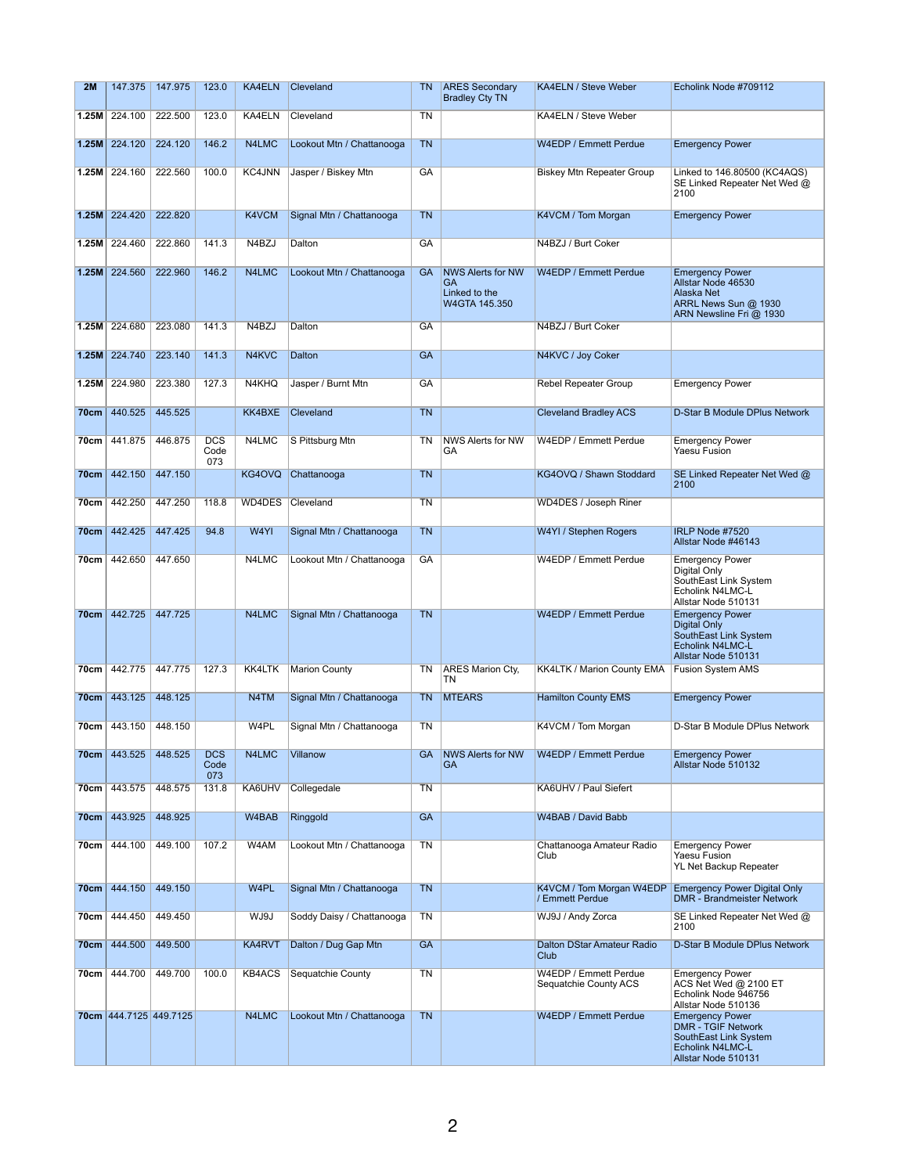| 2M   | 147.375                     | 147.975 | 123.0                     | <b>KA4ELN</b>                                         | Cleveland                 | TN        | <b>ARES Secondary</b><br><b>Bradley Cty TN</b>                          | <b>KA4ELN / Steve Weber</b>                    | Echolink Node #709112                                                                                                    |
|------|-----------------------------|---------|---------------------------|-------------------------------------------------------|---------------------------|-----------|-------------------------------------------------------------------------|------------------------------------------------|--------------------------------------------------------------------------------------------------------------------------|
|      | $1.25M$ 224.100             | 222.500 | 123.0                     | KA4ELN                                                | Cleveland                 | <b>TN</b> |                                                                         | KA4ELN / Steve Weber                           |                                                                                                                          |
|      | $1.25M$ 224.120             | 224.120 | 146.2                     | N4LMC                                                 | Lookout Mtn / Chattanooga | <b>TN</b> |                                                                         | W4EDP / Emmett Perdue                          | <b>Emergency Power</b>                                                                                                   |
|      | $1.25M$ 224.160             | 222.560 | 100.0                     | KC4JNN                                                | Jasper / Biskey Mtn       | G A       |                                                                         | <b>Biskey Mtn Repeater Group</b>               | Linked to 146.80500 (KC4AQS)<br>SE Linked Repeater Net Wed @<br>2100                                                     |
|      | $1.25M$ 224.420             | 222.820 |                           | K4VCM                                                 | Signal Mtn / Chattanooga  | <b>TN</b> |                                                                         | K4VCM / Tom Morgan                             | <b>Emergency Power</b>                                                                                                   |
|      | 1.25M $ 224.460 $           | 222.860 | 141.3                     | N4BZJ                                                 | Dalton                    | G A       |                                                                         | N4BZJ / Burt Coker                             |                                                                                                                          |
|      | $1.25M$ 224.560             | 222.960 | 146.2                     | N4LMC                                                 | Lookout Mtn / Chattanooga | <b>GA</b> | <b>NWS Alerts for NW</b><br><b>GA</b><br>Linked to the<br>W4GTA 145.350 | W4EDP / Emmett Perdue                          | <b>Emergency Power</b><br>Allstar Node 46530<br>Alaska Net<br>ARRL News Sun @ 1930<br>ARN Newsline Fri @ 1930            |
|      | $1.25M$   224.680   223.080 |         | 141.3                     | N4BZJ                                                 | Dalton                    | GA        |                                                                         | N4BZJ / Burt Coker                             |                                                                                                                          |
|      | $1.25M$ 224.740             | 223.140 | 141.3                     | N4KVC                                                 | Dalton                    | <b>GA</b> |                                                                         | N4KVC / Joy Coker                              |                                                                                                                          |
|      | $1.25M$ 224.980             | 223.380 | 127.3                     | N4KHQ                                                 | Jasper / Burnt Mtn        | G A       |                                                                         | <b>Rebel Repeater Group</b>                    | <b>Emergency Power</b>                                                                                                   |
|      | 70cm   440.525              | 445.525 |                           | KK4BXE                                                | Cleveland                 | <b>TN</b> |                                                                         | <b>Cleveland Bradley ACS</b>                   | D-Star B Module DPlus Network                                                                                            |
|      | 70cm   441.875              | 446.875 | <b>DCS</b><br>Code<br>073 | N4LMC                                                 | S Pittsburg Mtn           | <b>TN</b> | <b>NWS Alerts for NW</b><br>GA                                          | W4EDP / Emmett Perdue                          | <b>Emergency Power</b><br><b>Yaesu Fusion</b>                                                                            |
|      | 70cm   442.150   447.150    |         |                           | KG4OVQ                                                | Chattanooga               | <b>TN</b> |                                                                         | KG4OVQ / Shawn Stoddard                        | SE Linked Repeater Net Wed @<br>2100                                                                                     |
|      |                             |         |                           | 70cm   442.250   447.250   118.8   WD4DES   Cleveland |                           | TN        |                                                                         | <b>WD4DES / Joseph Riner</b>                   |                                                                                                                          |
|      | 70cm   442.425              | 447.425 | 94.8                      | W <sub>4</sub> YI                                     | Signal Mtn / Chattanooga  | <b>TN</b> |                                                                         | W4YI / Stephen Rogers                          | IRLP Node #7520<br>Allstar Node #46143                                                                                   |
|      | 70cm   442.650              | 447.650 |                           | N4LMC                                                 | Lookout Mtn / Chattanooga | <b>GA</b> |                                                                         | W4EDP / Emmett Perdue                          | <b>Emergency Power</b><br>Digital Only<br>SouthEast Link System<br>Echolink N4LMC-L<br>Allstar Node 510131               |
|      | 70cm   442.725              | 447.725 |                           | N4LMC                                                 | Signal Mtn / Chattanooga  | <b>TN</b> |                                                                         | W4EDP / Emmett Perdue                          | <b>Emergency Power</b><br><b>Digital Only</b><br>SouthEast Link System<br><b>Echolink N4LMC-L</b><br>Allstar Node 510131 |
|      | 70cm   442.775              | 447.775 | 127.3                     | KK4LTK                                                | Marion County             | TN        | <b>ARES Marion Cty,</b><br><b>TN</b>                                    | <b>KK4LTK / Marion County EMA</b>              | <b>Fusion System AMS</b>                                                                                                 |
| 70cm | 443.125                     | 448.125 |                           | N <sub>4</sub> TM                                     | Signal Mtn / Chattanooga  | <b>TN</b> | <b>MTEARS</b>                                                           | <b>Hamilton County EMS</b>                     | <b>Emergency Power</b>                                                                                                   |
| 70cm | 443.150                     | 448.150 |                           | W4PL                                                  | Signal Mtn / Chattanooga  | <b>TN</b> |                                                                         | K4VCM / Tom Morgan                             | D-Star B Module DPlus Network                                                                                            |
| 70cm | 443.525                     | 448.525 | <b>DCS</b><br>Code<br>073 | N4LMC                                                 | Villanow                  | <b>GA</b> | <b>NWS Alerts for NW</b><br><b>GA</b>                                   | W4EDP / Emmett Perdue                          | <b>Emergency Power</b><br>Allstar Node 510132                                                                            |
|      | 70cm   443.575              | 448.575 | 131.8                     | KA6UHV                                                | Collegedale               | <b>TN</b> |                                                                         | KA6UHV / Paul Siefert                          |                                                                                                                          |
| 70cm | 443.925                     | 448.925 |                           | W4BAB                                                 | Ringgold                  | <b>GA</b> |                                                                         | W4BAB / David Babb                             |                                                                                                                          |
| 70cm | 444.100                     | 449.100 | 107.2                     | W4AM                                                  | Lookout Mtn / Chattanooga | <b>TN</b> |                                                                         | Chattanooga Amateur Radio<br>Club              | <b>Emergency Power</b><br>Yaesu Fusion<br>YL Net Backup Repeater                                                         |
| 70cm | 444.150                     | 449.150 |                           | W <sub>4</sub> PL                                     | Signal Mtn / Chattanooga  | <b>TN</b> |                                                                         | K4VCM / Tom Morgan W4EDP<br>/ Emmett Perdue    | <b>Emergency Power Digital Only</b><br><b>DMR - Brandmeister Network</b>                                                 |
| 70cm | 444.450                     | 449.450 |                           | WJ9J                                                  | Soddy Daisy / Chattanooga | <b>TN</b> |                                                                         | WJ9J / Andy Zorca                              | SE Linked Repeater Net Wed @<br>2100                                                                                     |
|      | 70cm 444.500                | 449.500 |                           | KA4RVT                                                | Dalton / Dug Gap Mtn      | <b>GA</b> |                                                                         | Dalton DStar Amateur Radio<br>Club             | D-Star B Module DPlus Network                                                                                            |
|      | $70cm$   444.700            | 449.700 | 100.0                     | KB4ACS                                                | Sequatchie County         | TN        |                                                                         | W4EDP / Emmett Perdue<br>Sequatchie County ACS | <b>Emergency Power</b><br>ACS Net Wed @ 2100 ET<br>Echolink Node 946756<br>Allstar Node 510136                           |
|      | 70cm 444.7125 449.7125      |         |                           | N4LMC                                                 | Lookout Mtn / Chattanooga | <b>TN</b> |                                                                         | W4EDP / Emmett Perdue                          | <b>Emergency Power</b><br>DMR - TGIF Network<br>SouthEast Link System<br>Echolink N4LMC-L<br>Allstar Node 510131         |